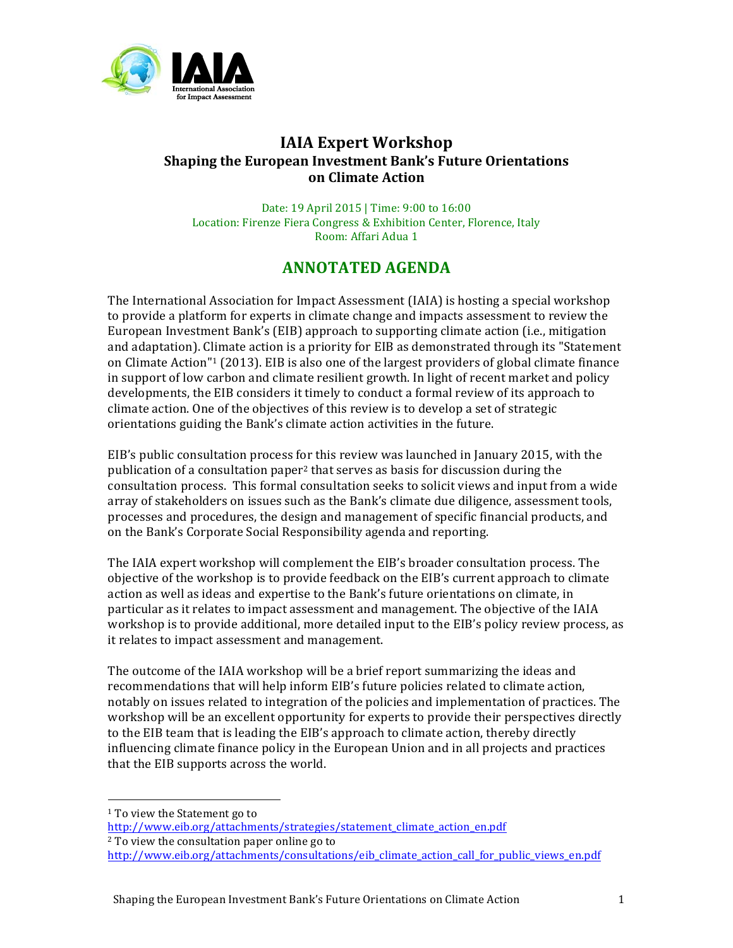

## **IAIA Expert Workshop Shaping the European Investment Bank's Future Orientations on Climate Action**

Date: 19 April 2015 | Time: 9:00 to 16:00 Location: Firenze Fiera Congress & Exhibition Center, Florence, Italy Room: Affari Adua 1

# **ANNOTATED AGENDA**

The International Association for Impact Assessment (IAIA) is hosting a special workshop to provide a platform for experts in climate change and impacts assessment to review the European Investment Bank's (EIB) approach to supporting climate action (i.e., mitigation and adaptation). Climate action is a priority for EIB as demonstrated through its "Statement on Climate Action"<sup>1</sup> (2013). EIB is also one of the largest providers of global climate finance in support of low carbon and climate resilient growth. In light of recent market and policy developments, the EIB considers it timely to conduct a formal review of its approach to climate action. One of the objectives of this review is to develop a set of strategic orientations guiding the Bank's climate action activities in the future.

EIB's public consultation process for this review was launched in January 2015, with the publication of a consultation paper<sup>2</sup> that serves as basis for discussion during the consultation process. This formal consultation seeks to solicit views and input from a wide array of stakeholders on issues such as the Bank's climate due diligence, assessment tools, processes and procedures, the design and management of specific financial products, and on the Bank's Corporate Social Responsibility agenda and reporting.

The IAIA expert workshop will complement the EIB's broader consultation process. The objective of the workshop is to provide feedback on the EIB's current approach to climate action as well as ideas and expertise to the Bank's future orientations on climate, in particular as it relates to impact assessment and management. The objective of the IAIA workshop is to provide additional, more detailed input to the EIB's policy review process, as it relates to impact assessment and management.

The outcome of the IAIA workshop will be a brief report summarizing the ideas and recommendations that will help inform EIB's future policies related to climate action, notably on issues related to integration of the policies and implementation of practices. The workshop will be an excellent opportunity for experts to provide their perspectives directly to the EIB team that is leading the EIB's approach to climate action, thereby directly influencing climate finance policy in the European Union and in all projects and practices that the EIB supports across the world.

 

<sup>&</sup>lt;sup>1</sup> To view the Statement go to

http://www.eib.org/attachments/strategies/statement\_climate\_action\_en.pdf  $2$  To view the consultation paper online go to http://www.eib.org/attachments/consultations/eib\_climate\_action\_call\_for\_public\_views\_en.pdf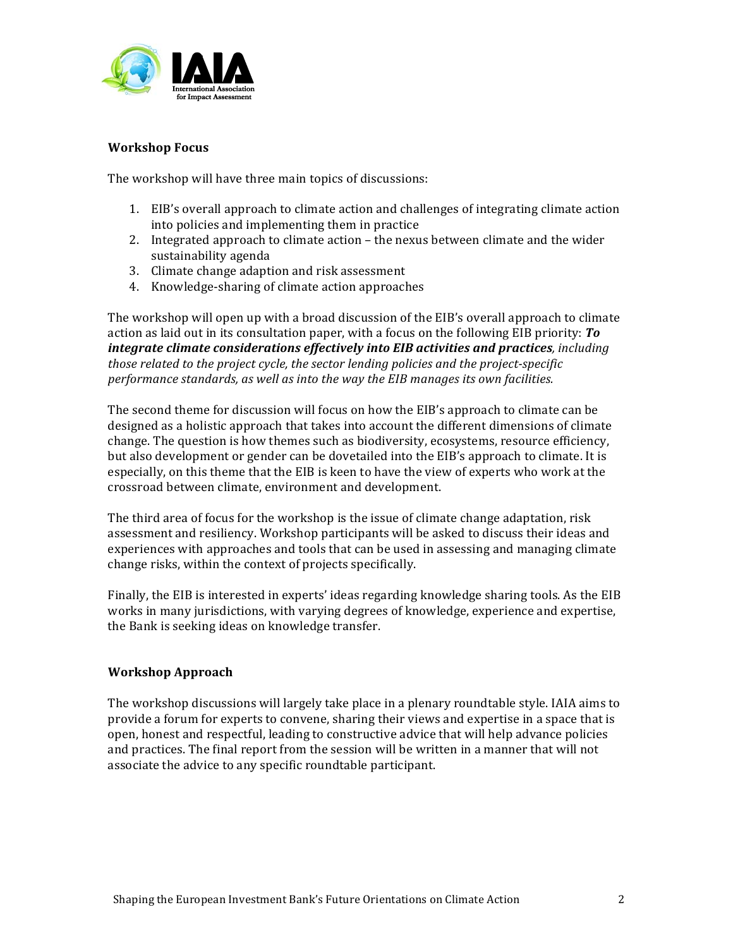

### **Workshop Focus**

The workshop will have three main topics of discussions:

- 1. EIB's overall approach to climate action and challenges of integrating climate action into policies and implementing them in practice
- 2. Integrated approach to climate action the nexus between climate and the wider sustainability agenda
- 3. Climate change adaption and risk assessment
- 4. Knowledge-sharing of climate action approaches

The workshop will open up with a broad discussion of the EIB's overall approach to climate action as laid out in its consultation paper, with a focus on the following EIB priority: **To** integrate climate considerations effectively into EIB activities and practices, including *those related to the project cycle, the sector lending policies and the project-specific performance standards, as well as into the way the EIB manages its own facilities.* 

The second theme for discussion will focus on how the EIB's approach to climate can be designed as a holistic approach that takes into account the different dimensions of climate change. The question is how themes such as biodiversity, ecosystems, resource efficiency, but also development or gender can be dovetailed into the EIB's approach to climate. It is especially, on this theme that the EIB is keen to have the view of experts who work at the crossroad between climate, environment and development.

The third area of focus for the workshop is the issue of climate change adaptation, risk assessment and resiliency. Workshop participants will be asked to discuss their ideas and experiences with approaches and tools that can be used in assessing and managing climate change risks, within the context of projects specifically.

Finally, the EIB is interested in experts' ideas regarding knowledge sharing tools. As the EIB works in many jurisdictions, with varying degrees of knowledge, experience and expertise, the Bank is seeking ideas on knowledge transfer.

#### **Workshop Approach**

The workshop discussions will largely take place in a plenary roundtable style. IAIA aims to provide a forum for experts to convene, sharing their views and expertise in a space that is open, honest and respectful, leading to constructive advice that will help advance policies and practices. The final report from the session will be written in a manner that will not associate the advice to any specific roundtable participant.